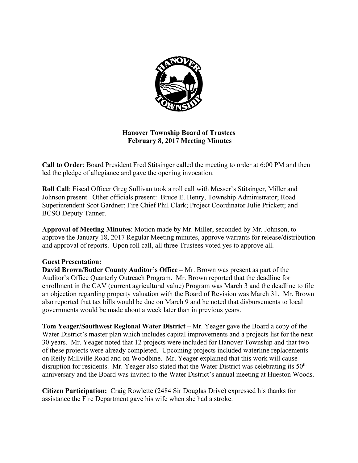

## **Hanover Township Board of Trustees February 8, 2017 Meeting Minutes**

**Call to Order**: Board President Fred Stitsinger called the meeting to order at 6:00 PM and then led the pledge of allegiance and gave the opening invocation.

**Roll Call**: Fiscal Officer Greg Sullivan took a roll call with Messer's Stitsinger, Miller and Johnson present. Other officials present: Bruce E. Henry, Township Administrator; Road Superintendent Scot Gardner; Fire Chief Phil Clark; Project Coordinator Julie Prickett; and BCSO Deputy Tanner.

**Approval of Meeting Minutes**: Motion made by Mr. Miller, seconded by Mr. Johnson, to approve the January 18, 2017 Regular Meeting minutes, approve warrants for release/distribution and approval of reports. Upon roll call, all three Trustees voted yes to approve all.

## **Guest Presentation:**

**David Brown/Butler County Auditor's Office –** Mr. Brown was present as part of the Auditor's Office Quarterly Outreach Program. Mr. Brown reported that the deadline for enrollment in the CAV (current agricultural value) Program was March 3 and the deadline to file an objection regarding property valuation with the Board of Revision was March 31. Mr. Brown also reported that tax bills would be due on March 9 and he noted that disbursements to local governments would be made about a week later than in previous years.

**Tom Yeager/Southwest Regional Water District** – Mr. Yeager gave the Board a copy of the Water District's master plan which includes capital improvements and a projects list for the next 30 years. Mr. Yeager noted that 12 projects were included for Hanover Township and that two of these projects were already completed. Upcoming projects included waterline replacements on Reily Millville Road and on Woodbine. Mr. Yeager explained that this work will cause disruption for residents. Mr. Yeager also stated that the Water District was celebrating its  $50<sup>th</sup>$ anniversary and the Board was invited to the Water District's annual meeting at Hueston Woods.

**Citizen Participation:** Craig Rowlette (2484 Sir Douglas Drive) expressed his thanks for assistance the Fire Department gave his wife when she had a stroke.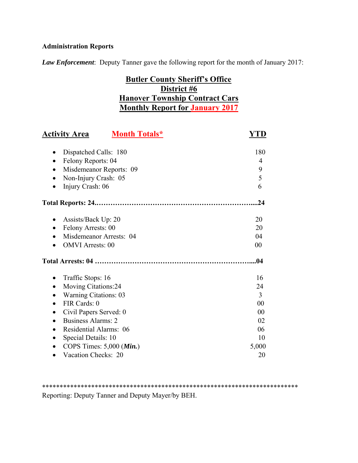# **Administration Reports**

*Law Enforcement*: Deputy Tanner gave the following report for the month of January 2017:

# **Butler County Sheriff's Office District #6 Hanover Township Contract Cars Monthly Report for January 2017**

| <b>Month Totals*</b><br><b>Activity Area</b> | YTD            |
|----------------------------------------------|----------------|
|                                              |                |
| Dispatched Calls: 180                        | 180            |
| Felony Reports: 04<br>$\bullet$              | 4              |
| Misdemeanor Reports: 09<br>$\bullet$         | 9              |
| Non-Injury Crash: 05<br>$\bullet$            | 5              |
| Injury Crash: 06<br>$\bullet$                | 6              |
|                                              | .24            |
| Assists/Back Up: 20                          | 20             |
| Felony Arrests: 00<br>$\bullet$              | 20             |
| Misdemeanor Arrests: 04                      | 04             |
| <b>OMVI</b> Arrests: 00                      | 00             |
|                                              | .04            |
| Traffic Stops: 16                            | 16             |
| Moving Citations:24<br>$\bullet$             | 24             |
| <b>Warning Citations: 03</b><br>$\bullet$    | $\overline{3}$ |
| FIR Cards: 0<br>$\bullet$                    | 00             |
| Civil Papers Served: 0                       | 00             |
| <b>Business Alarms: 2</b>                    | 02             |
| Residential Alarms: 06                       | 06             |
| Special Details: 10                          | 10             |
| COPS Times: $5,000$ ( <i>Min.</i> )          | 5,000          |
| Vacation Checks: 20                          | 20             |

\*\*\*\*\*\*\*\*\*\*\*\*\*\*\*\*\*\*\*\*\*\*\*\*\*\*\*\*\*\*\*\*\*\*\*\*\*\*\*\*\*\*\*\*\*\*\*\*\*\*\*\*\*\*\*\*\*\*\*\*\*\*\*\*\*\*\*\*\*\*\*\*\* Reporting: Deputy Tanner and Deputy Mayer/by BEH.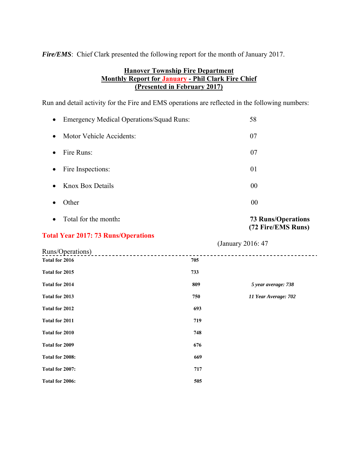*Fire/EMS*: Chief Clark presented the following report for the month of January 2017.

## **Hanover Township Fire Department Monthly Report for January - Phil Clark Fire Chief (Presented in February 2017)**

Run and detail activity for the Fire and EMS operations are reflected in the following numbers:

| $\bullet$ | <b>Emergency Medical Operations/Squad Runs:</b> | 58 |
|-----------|-------------------------------------------------|----|
| $\bullet$ | Motor Vehicle Accidents:                        | 07 |
| $\bullet$ | Fire Runs:                                      | 07 |
| $\bullet$ | Fire Inspections:                               | 01 |
| $\bullet$ | <b>Knox Box Details</b>                         | 00 |
|           | Dther:                                          | 00 |

Total for the month**: 73 Runs/Operations** 

## **Total Year 2017: 73 Runs/Operations**

 (January 2016: 47 Runs/Operations) --------------------------------------------------**Total for 2016** 705 **Total for 2015 733 Total for 2014 809** *5 year average: 738* **Total for 2013 750** *11 Year Average: 702* **Total for 2012 693 Total for 2011** 719 **Total for 2010** 748 **Total for 2009** 676 **Total for 2008: 669 Total for 2007:** 717 **Total for 2006: 505** 

 **(72 Fire/EMS Runs)**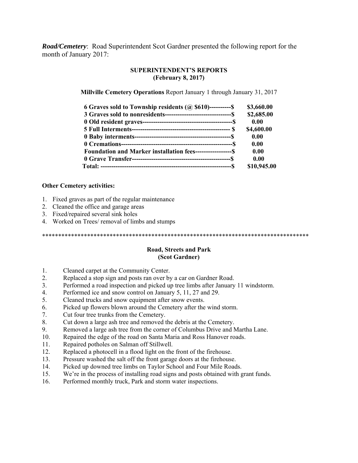*Road/Cemetery*: Road Superintendent Scot Gardner presented the following report for the month of January 2017:

#### **SUPERINTENDENT'S REPORTS (February 8, 2017)**

**Millville Cemetery Operations** Report January 1 through January 31, 2017

| 6 Graves sold to Township residents $(a)$ \$610)----------\$   | \$3,660.00  |
|----------------------------------------------------------------|-------------|
|                                                                | \$2,685.00  |
|                                                                | 0.00        |
|                                                                | \$4,600.00  |
|                                                                | 0.00        |
|                                                                | 0.00        |
| Foundation and Marker installation fees----------------------- | 0.00        |
|                                                                | 0.00        |
|                                                                | \$10,945.00 |

#### **Other Cemetery activities:**

- 1. Fixed graves as part of the regular maintenance
- 2. Cleaned the office and garage areas
- 3. Fixed/repaired several sink holes
- 4. Worked on Trees/ removal of limbs and stumps

\*\*\*\*\*\*\*\*\*\*\*\*\*\*\*\*\*\*\*\*\*\*\*\*\*\*\*\*\*\*\*\*\*\*\*\*\*\*\*\*\*\*\*\*\*\*\*\*\*\*\*\*\*\*\*\*\*\*\*\*\*\*\*\*\*\*\*\*\*\*\*\*\*\*\*\*\*\*\*\*\*\*\*

#### **Road, Streets and Park (Scot Gardner)**

- 1. Cleaned carpet at the Community Center.
- 2. Replaced a stop sign and posts ran over by a car on Gardner Road.
- 3. Performed a road inspection and picked up tree limbs after January 11 windstorm.
- 4. Performed ice and snow control on January 5, 11, 27 and 29.
- 5. Cleaned trucks and snow equipment after snow events.
- 6. Picked up flowers blown around the Cemetery after the wind storm.
- 7. Cut four tree trunks from the Cemetery.
- 8. Cut down a large ash tree and removed the debris at the Cemetery.
- 9. Removed a large ash tree from the corner of Columbus Drive and Martha Lane.
- 10. Repaired the edge of the road on Santa Maria and Ross Hanover roads.
- 11. Repaired potholes on Salman off Stillwell.
- 12. Replaced a photocell in a flood light on the front of the firehouse.
- 13. Pressure washed the salt off the front garage doors at the firehouse.
- 14. Picked up downed tree limbs on Taylor School and Four Mile Roads.
- 15. We're in the process of installing road signs and posts obtained with grant funds.
- 16. Performed monthly truck, Park and storm water inspections.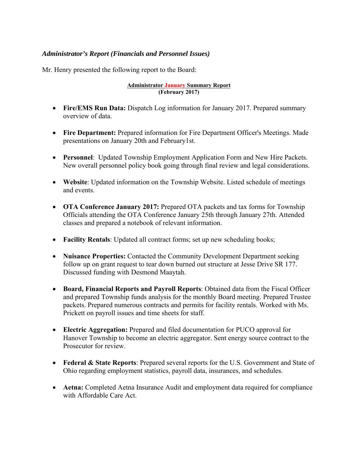## *Administrator's Report (Financials and Personnel Issues)*

Mr. Henry presented the following report to the Board:

#### **Administrator January Summary Report (February 2017)**

- **Fire/EMS Run Data:** Dispatch Log information for January 2017. Prepared summary overview of data.
- **Fire Department:** Prepared information for Fire Department Officer's Meetings. Made presentations on January 20th and February1st.
- **Personnel**: Updated Township Employment Application Form and New Hire Packets. New overall personnel policy book going through final review and legal considerations.
- **Website**: Updated information on the Township Website. Listed schedule of meetings and events.
- **OTA Conference January 2017:** Prepared OTA packets and tax forms for Township Officials attending the OTA Conference January 25th through January 27th. Attended classes and prepared a notebook of relevant information.
- **Facility Rentals**: Updated all contract forms; set up new scheduling books;
- **Nuisance Properties:** Contacted the Community Development Department seeking follow up on grant request to tear down burned out structure at Jesse Drive SR 177. Discussed funding with Desmond Maaytah.
- **Board, Financial Reports and Payroll Reports**: Obtained data from the Fiscal Officer and prepared Township funds analysis for the monthly Board meeting. Prepared Trustee packets. Prepared numerous contracts and permits for facility rentals. Worked with Ms. Prickett on payroll issues and time sheets for staff.
- **Electric Aggregation:** Prepared and filed documentation for PUCO approval for Hanover Township to become an electric aggregator. Sent energy source contract to the Prosecutor for review.
- **Federal & State Reports**: Prepared several reports for the U.S. Government and State of Ohio regarding employment statistics, payroll data, insurances, and schedules.
- **Aetna:** Completed Aetna Insurance Audit and employment data required for compliance with Affordable Care Act.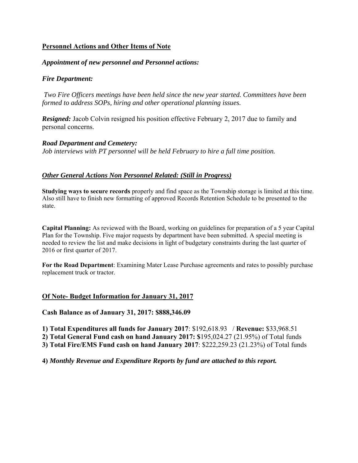## **Personnel Actions and Other Items of Note**

#### *Appointment of new personnel and Personnel actions:*

#### *Fire Department:*

*Two Fire Officers meetings have been held since the new year started. Committees have been formed to address SOPs, hiring and other operational planning issues.* 

*Resigned: Jacob Colvin resigned his position effective February 2, 2017 due to family and* personal concerns.

*Road Department and Cemetery: Job interviews with PT personnel will be held February to hire a full time position.*

## *Other General Actions Non Personnel Related: (Still in Progress)*

**Studying ways to secure records** properly and find space as the Township storage is limited at this time. Also still have to finish new formatting of approved Records Retention Schedule to be presented to the state.

**Capital Planning:** As reviewed with the Board, working on guidelines for preparation of a 5 year Capital Plan for the Township. Five major requests by department have been submitted. A special meeting is needed to review the list and make decisions in light of budgetary constraints during the last quarter of 2016 or first quarter of 2017.

**For the Road Department**: Examining Mater Lease Purchase agreements and rates to possibly purchase replacement truck or tractor.

#### **Of Note- Budget Information for January 31, 2017**

**Cash Balance as of January 31, 2017: \$888,346.09** 

**1) Total Expenditures all funds for January 2017**: \$192,618.93 / **Revenue:** \$33,968.51

**2) Total General Fund cash on hand January 2017: \$**195,024.27 (21.95%) of Total funds

**3) Total Fire/EMS Fund cash on hand January 2017**: \$222,259.23 (21.23%) of Total funds

**4)** *Monthly Revenue and Expenditure Reports by fund are attached to this report.*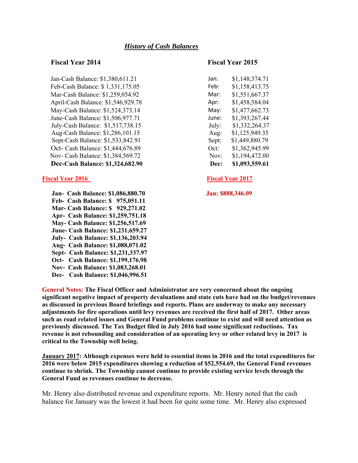#### *History of Cash Balances*

Jan-Cash Balance: \$1,380,611.21 Jan: \$1,148,374.71 Feb-Cash Balance: \$ 1,331,175.05 Feb: \$1,158,413.75 Mar-Cash Balance: \$1,259,054.92 April-Cash Balance: \$1,546,929.78 Apr: \$1,458,584.04 May-Cash Balance: \$1,524,373.14 May: \$1,477,662.73 June-Cash Balance: \$1,506,977.71 June July-Cash Balance: \$1,517,738.15 Aug-Cash Balance: \$1,286,101.15 Sept-Cash Balance: \$1,533,842.91 S Oct- Cash Balance: \$1,444,676.89 Nov- Cash Balance: \$1,384,569.72 **Dec-Cash Balance: \$1,324,682.90** 

#### **Fiscal Year 2016** Fiscal Year 2017

 **Jan- Cash Balance: \$1,086,880.70 Jan: \$888,346.09 Feb- Cash Balance: \$ 975,051.11 Mar- Cash Balance: \$ 929,271.02 Apr- Cash Balance: \$1,259,751.18 May- Cash Balance: \$1,256,517.69 June- Cash Balance: \$1,231,659.27 July- Cash Balance: \$1,136,203.94 Aug- Cash Balance: \$1,088,071.02 Sept- Cash Balance: \$1,231,337.97 Oct- Cash Balance: \$1,199,176.98 Nov- Cash Balance: \$1,083,268.01 Dec- Cash Balance: \$1,046,996.51** 

#### **Fiscal Year 2014 Fiscal Year 2015**

| an:         | \$1,148,374.71 |
|-------------|----------------|
| eb:         | \$1,158,413.75 |
| Лаr:        | \$1,551,667.37 |
| \pr:        | \$1,458,584.04 |
| Лау:        | \$1,477,662.73 |
| une:        | \$1,393,267.44 |
| uly:        | \$1,332,264.37 |
| Aug:        | \$1,125,949.35 |
| Sept:       | \$1,449,880.79 |
| )ct:        | \$1,362,945.99 |
| Nov:        | \$1,194,472.00 |
| <b>Dec:</b> | \$1,093,559.61 |

**General Notes: The Fiscal Officer and Administrator are very concerned about the ongoing significant negative impact of property devaluations and state cuts have had on the budget/revenues as discussed in previous Board briefings and reports. Plans are underway to make any necessary adjustments for fire operations until levy revenues are received the first half of 2017. Other areas such as road related issues and General Fund problems continue to exist and will need attention as previously discussed. The Tax Budget filed in July 2016 had some significant reductions. Tax revenue is not rebounding and consideration of an operating levy or other related levy in 2017 is critical to the Township well being.** 

**January 2017: Although expenses were held to essential items in 2016 and the total expenditures for 2016 were below 2015 expenditures showing a reduction of \$52,554.69, the General Fund revenues continue to shrink. The Township cannot continue to provide existing service levels through the General Fund as revenues continue to decrease.** 

Mr. Henry also distributed revenue and expenditure reports. Mr. Henry noted that the cash balance for January was the lowest it had been for quite some time. Mr. Henry also expressed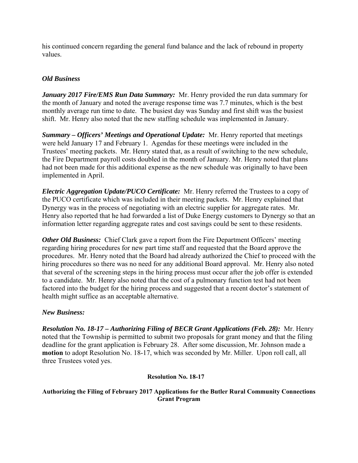his continued concern regarding the general fund balance and the lack of rebound in property values.

## *Old Business*

*January 2017 Fire/EMS Run Data Summary:* Mr. Henry provided the run data summary for the month of January and noted the average response time was 7.7 minutes, which is the best monthly average run time to date. The busiest day was Sunday and first shift was the busiest shift. Mr. Henry also noted that the new staffing schedule was implemented in January.

*Summary – Officers' Meetings and Operational Update:* Mr. Henry reported that meetings were held January 17 and February 1. Agendas for these meetings were included in the Trustees' meeting packets. Mr. Henry stated that, as a result of switching to the new schedule, the Fire Department payroll costs doubled in the month of January. Mr. Henry noted that plans had not been made for this additional expense as the new schedule was originally to have been implemented in April.

*Electric Aggregation Update/PUCO Certificate:* Mr. Henry referred the Trustees to a copy of the PUCO certificate which was included in their meeting packets. Mr. Henry explained that Dynergy was in the process of negotiating with an electric supplier for aggregate rates. Mr. Henry also reported that he had forwarded a list of Duke Energy customers to Dynergy so that an information letter regarding aggregate rates and cost savings could be sent to these residents.

*Other Old Business:* Chief Clark gave a report from the Fire Department Officers' meeting regarding hiring procedures for new part time staff and requested that the Board approve the procedures. Mr. Henry noted that the Board had already authorized the Chief to proceed with the hiring procedures so there was no need for any additional Board approval. Mr. Henry also noted that several of the screening steps in the hiring process must occur after the job offer is extended to a candidate. Mr. Henry also noted that the cost of a pulmonary function test had not been factored into the budget for the hiring process and suggested that a recent doctor's statement of health might suffice as an acceptable alternative.

## *New Business:*

*Resolution No. 18-17 – Authorizing Filing of BECR Grant Applications (Feb. 28):* Mr. Henry noted that the Township is permitted to submit two proposals for grant money and that the filing deadline for the grant application is February 28. After some discussion, Mr. Johnson made a **motion** to adopt Resolution No. 18-17, which was seconded by Mr. Miller. Upon roll call, all three Trustees voted yes.

#### **Resolution No. 18-17**

#### **Authorizing the Filing of February 2017 Applications for the Butler Rural Community Connections Grant Program**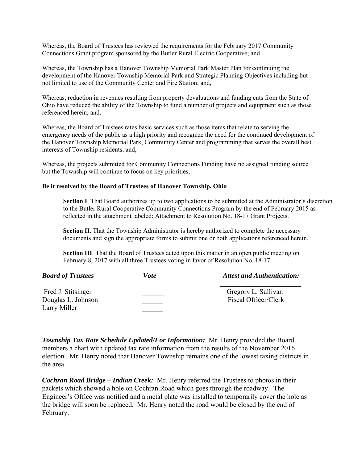Whereas, the Board of Trustees has reviewed the requirements for the February 2017 Community Connections Grant program sponsored by the Butler Rural Electric Cooperative; and,

Whereas, the Township has a Hanover Township Memorial Park Master Plan for continuing the development of the Hanover Township Memorial Park and Strategic Planning Objectives including but not limited to use of the Community Center and Fire Station; and,

Whereas, reduction in revenues resulting from property devaluations and funding cuts from the State of Ohio have reduced the ability of the Township to fund a number of projects and equipment such as those referenced herein; and,

Whereas, the Board of Trustees rates basic services such as those items that relate to serving the emergency needs of the public as a high priority and recognize the need for the continued development of the Hanover Township Memorial Park, Community Center and programming that serves the overall best interests of Township residents; and,

Whereas, the projects submitted for Community Connections Funding have no assigned funding source but the Township will continue to focus on key priorities,

#### **Be it resolved by the Board of Trustees of Hanover Township, Ohio**

**Section I**. That Board authorizes up to two applications to be submitted at the Administrator's discretion to the Butler Rural Cooperative Community Connections Program by the end of February 2015 as reflected in the attachment labeled: Attachment to Resolution No. 18-17 Grant Projects.

**Section II**. That the Township Administrator is hereby authorized to complete the necessary documents and sign the appropriate forms to submit one or both applications referenced herein.

**Section III**. That the Board of Trustees acted upon this matter in an open public meeting on February 8, 2017 with all three Trustees voting in favor of Resolution No. 18-17.

| <b>Board of Trustees</b> | Vote | <b>Attest and Authentication:</b> |
|--------------------------|------|-----------------------------------|
| Fred J. Stitsinger       |      | Gregory L. Sullivan               |
| Douglas L. Johnson       |      | Fiscal Officer/Clerk              |
| Larry Miller             |      |                                   |

*Township Tax Rate Schedule Updated/For Information:* Mr. Henry provided the Board members a chart with updated tax rate information from the results of the November 2016 election. Mr. Henry noted that Hanover Township remains one of the lowest taxing districts in the area.

*Cochran Road Bridge – Indian Creek:* Mr. Henry referred the Trustees to photos in their packets which showed a hole on Cochran Road which goes through the roadway. The Engineer's Office was notified and a metal plate was installed to temporarily cover the hole as the bridge will soon be replaced. Mr. Henry noted the road would be closed by the end of February.